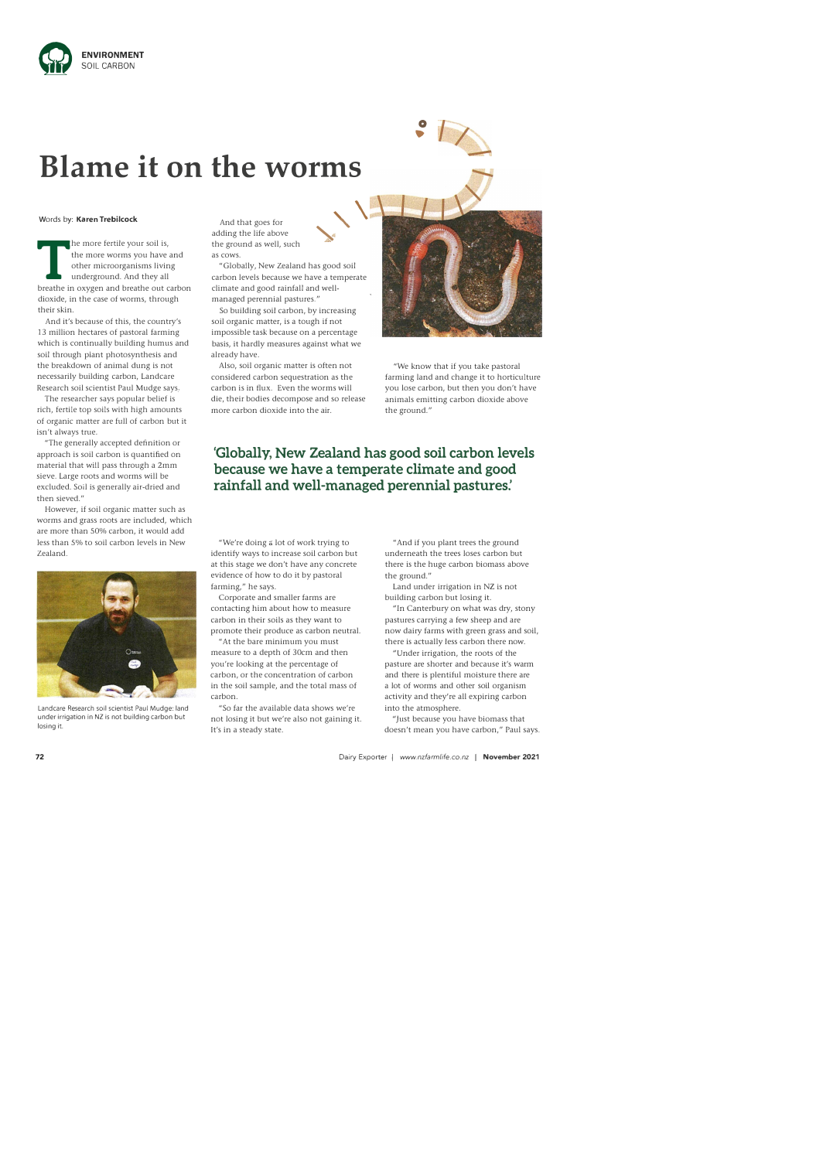

**0**  •

## **Blame it on the worms**

## Words by: **Karen Trebilcock**

The more fertile your soil is,<br>the more worms you have and<br>other microorganisms living<br>underground. And they all<br>breathe in oxygen and breathe out carbon he more fertile your soil is, the more worms you have and other microorganisms living underground. And they all dioxide, in the case of worms, through their skin.

And it's because of this, the country's 13 million hectares of pastoral farming which is continually building humus and soil through plant photosynthesis and the breakdown of animal dung is not necessarily building carbon, Landcare Research soil scientist Paul Mudge says.

The researcher says popular belief is rich, fertile top soils with high amounts of organic matter are full of carbon but it isn't always true.

"The generally accepted definition or approach is soil carbon is quantified on material that will pass through a 2mm sieve. Large roots and worms will be excluded. Soil is generally air-dried and then sieved."

However, if soil organic matter such as worms and grass roots are included, which are more than 50% carbon, it would add less than 5% to soil carbon levels in New Zealand.



Landcare Research soil scientist Paul Mudge: land under irrigation in NZ is not building carbon but losing it.

"We're doing a lot of work trying to identify ways to increase soil carbon but at this stage we don't have any concrete evidence of how to do it by pastoral farming," he says.

And that goes for adding the life above the ground as well, such as cows.



,,.\_

"Globally, New Zealand has good soil carbon levels because we have a temperate climate and good rainfall and wellmanaged perennial pastures."

So building soil carbon, by increasing soil organic matter, is a tough if not impossible task because on a percentage basis, it hardly measures against what we already have.

Also, soil organic matter is often not considered carbon sequestration as the carbon is in flux. Even the worms will die, their bodies decompose and so release more carbon dioxide into the air.

"We know that if you take pastoral farming land and change it to horticulture you lose carbon, but then you don't have animals emitting carbon dioxide above the ground."

## **'Globally, New Zealand has good soil carbon levels because we have a temperate climate and good rainfall and well-managed perennial pastures:**

Corporate and smaller farms are contacting him about how to measure carbon in their soils as they want to promote their produce as carbon neutral. "At the bare minimum you must

measure to a depth of 30cm and then you're looking at the percentage of carbon, or the concentration of carbon in the soil sample, and the total mass of carbon.

"So far the available data shows we're not losing it but we're also not gaining it. It's in a steady state.

"And if you plant trees the ground underneath the trees loses carbon but there is the huge carbon biomass above the ground."

Land under irrigation in NZ is not building carbon but losing it.

"In Canterbury on what was dry, stony pastures carrying a few sheep and are now dairy farms with green grass and soil, there is actually less carbon there now.

"Under irrigation, the roots of the pasture are shorter and because it's warm and there is plentiful moisture there are a lot of worms and other soil organism activity and they're all expiring carbon into the atmosphere.

"Just because you have biomass that doesn't mean you have carbon," Paul says.